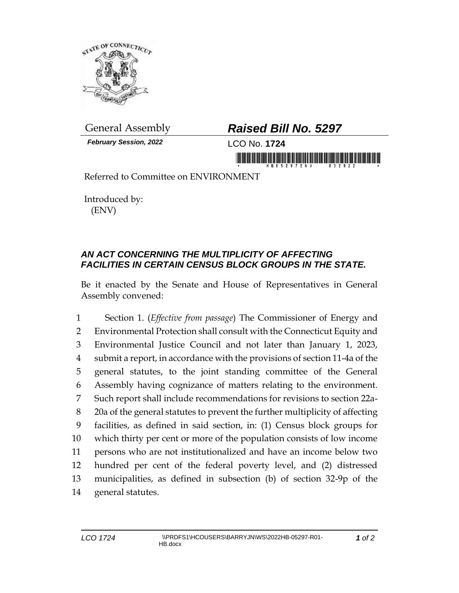

*February Session, 2022* LCO No. **1724**

## General Assembly *Raised Bill No. 5297*

Referred to Committee on ENVIRONMENT

Introduced by: (ENV)

## *AN ACT CONCERNING THE MULTIPLICITY OF AFFECTING FACILITIES IN CERTAIN CENSUS BLOCK GROUPS IN THE STATE.*

Be it enacted by the Senate and House of Representatives in General Assembly convened:

 Section 1. (*Effective from passage*) The Commissioner of Energy and Environmental Protection shall consult with the Connecticut Equity and Environmental Justice Council and not later than January 1, 2023, submit a report, in accordance with the provisions of section 11-4a of the general statutes, to the joint standing committee of the General Assembly having cognizance of matters relating to the environment. Such report shall include recommendations for revisions to section 22a- 20a of the general statutes to prevent the further multiplicity of affecting facilities, as defined in said section, in: (1) Census block groups for which thirty per cent or more of the population consists of low income persons who are not institutionalized and have an income below two hundred per cent of the federal poverty level, and (2) distressed municipalities, as defined in subsection (b) of section 32-9p of the general statutes.